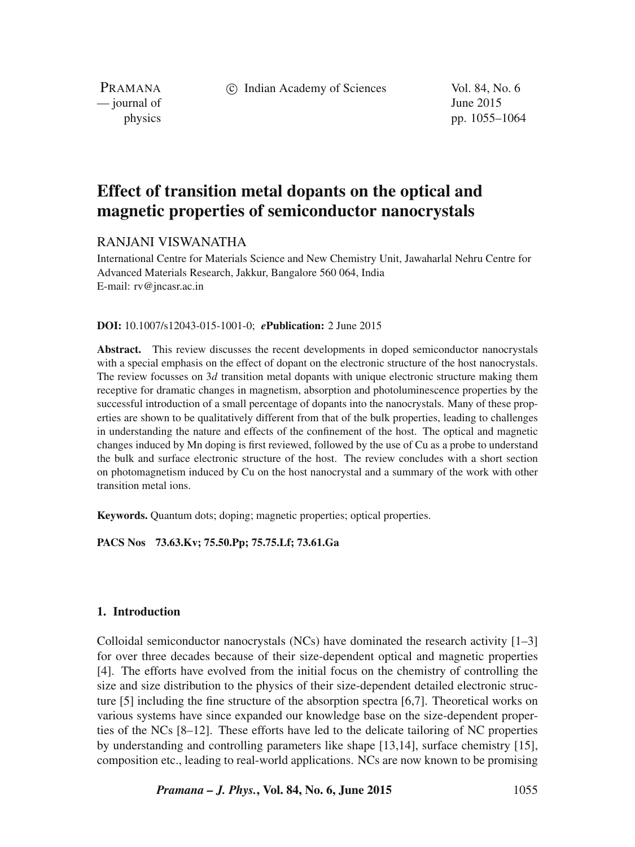c Indian Academy of Sciences Vol. 84, No. 6

PRAMANA  $\frac{1}{2}$  journal of June 2015

physics pp. 1055–1064

# **Effect of transition metal dopants on the optical and magnetic properties of semiconductor nanocrystals**

# RANJANI VISWANATHA

International Centre for Materials Science and New Chemistry Unit, Jawaharlal Nehru Centre for Advanced Materials Research, Jakkur, Bangalore 560 064, India E-mail: rv@jncasr.ac.in

## **DOI:** 10.1007/s12043-015-1001-0; *e***Publication:** 2 June 2015

**Abstract.** This review discusses the recent developments in doped semiconductor nanocrystals with a special emphasis on the effect of dopant on the electronic structure of the host nanocrystals. The review focusses on  $3d$  transition metal dopants with unique electronic structure making them receptive for dramatic changes in magnetism, absorption and photoluminescence properties by the successful introduction of a small percentage of dopants into the nanocrystals. Many of these properties are shown to be qualitatively different from that of the bulk properties, leading to challenges in understanding the nature and effects of the confinement of the host. The optical and magnetic changes induced by Mn doping is first reviewed, followed by the use of Cu as a probe to understand the bulk and surface electronic structure of the host. The review concludes with a short section on photomagnetism induced by Cu on the host nanocrystal and a summary of the work with other transition metal ions.

**Keywords.** Quantum dots; doping; magnetic properties; optical properties.

**PACS Nos 73.63.Kv; 75.50.Pp; 75.75.Lf; 73.61.Ga**

# **1. Introduction**

Colloidal semiconductor nanocrystals (NCs) have dominated the research activity  $[1-3]$ for over three decades because of their size-dependent optical and magnetic properties [4]. The efforts have evolved from the initial focus on the chemistry of controlling the size and size distribution to the physics of their size-dependent detailed electronic structure [5] including the fine structure of the absorption spectra [6,7]. Theoretical works on various systems have since expanded our knowledge base on the size-dependent properties of the NCs [8–12]. These efforts have led to the delicate tailoring of NC properties by understanding and controlling parameters like shape [13,14], surface chemistry [15], composition etc., leading to real-world applications. NCs are now known to be promising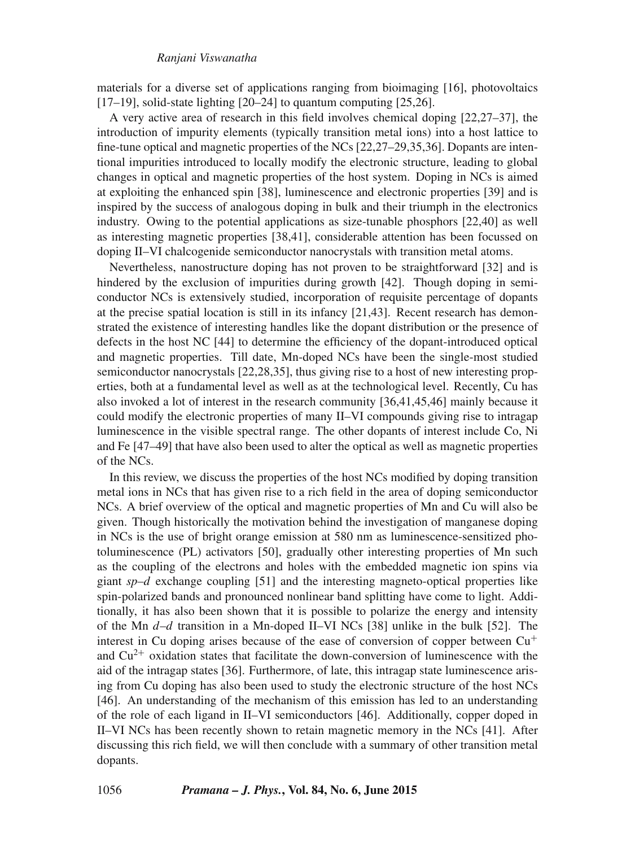materials for a diverse set of applications ranging from bioimaging [16], photovoltaics  $[17–19]$ , solid-state lighting  $[20–24]$  to quantum computing  $[25.26]$ .

A very active area of research in this field involves chemical doping [22,27–37], the introduction of impurity elements (typically transition metal ions) into a host lattice to fine-tune optical and magnetic properties of the NCs [22,27–29,35,36]. Dopants are intentional impurities introduced to locally modify the electronic structure, leading to global changes in optical and magnetic properties of the host system. Doping in NCs is aimed at exploiting the enhanced spin [38], luminescence and electronic properties [39] and is inspired by the success of analogous doping in bulk and their triumph in the electronics industry. Owing to the potential applications as size-tunable phosphors [22,40] as well as interesting magnetic properties [38,41], considerable attention has been focussed on doping II–VI chalcogenide semiconductor nanocrystals with transition metal atoms.

Nevertheless, nanostructure doping has not proven to be straightforward [32] and is hindered by the exclusion of impurities during growth [42]. Though doping in semiconductor NCs is extensively studied, incorporation of requisite percentage of dopants at the precise spatial location is still in its infancy [21,43]. Recent research has demonstrated the existence of interesting handles like the dopant distribution or the presence of defects in the host NC [44] to determine the efficiency of the dopant-introduced optical and magnetic properties. Till date, Mn-doped NCs have been the single-most studied semiconductor nanocrystals [22,28,35], thus giving rise to a host of new interesting properties, both at a fundamental level as well as at the technological level. Recently, Cu has also invoked a lot of interest in the research community [36,41,45,46] mainly because it could modify the electronic properties of many II–VI compounds giving rise to intragap luminescence in the visible spectral range. The other dopants of interest include Co, Ni and Fe [47–49] that have also been used to alter the optical as well as magnetic properties of the NCs.

In this review, we discuss the properties of the host NCs modified by doping transition metal ions in NCs that has given rise to a rich field in the area of doping semiconductor NCs. A brief overview of the optical and magnetic properties of Mn and Cu will also be given. Though historically the motivation behind the investigation of manganese doping in NCs is the use of bright orange emission at 580 nm as luminescence-sensitized photoluminescence (PL) activators [50], gradually other interesting properties of Mn such as the coupling of the electrons and holes with the embedded magnetic ion spins via giant *sp*–d exchange coupling [51] and the interesting magneto-optical properties like spin-polarized bands and pronounced nonlinear band splitting have come to light. Additionally, it has also been shown that it is possible to polarize the energy and intensity of the Mn  $d-d$  transition in a Mn-doped II–VI NCs [38] unlike in the bulk [52]. The interest in Cu doping arises because of the ease of conversion of copper between Cu<sup>+</sup> and  $Cu<sup>2+</sup>$  oxidation states that facilitate the down-conversion of luminescence with the aid of the intragap states [36]. Furthermore, of late, this intragap state luminescence arising from Cu doping has also been used to study the electronic structure of the host NCs [46]. An understanding of the mechanism of this emission has led to an understanding of the role of each ligand in II–VI semiconductors [46]. Additionally, copper doped in II–VI NCs has been recently shown to retain magnetic memory in the NCs [41]. After discussing this rich field, we will then conclude with a summary of other transition metal dopants.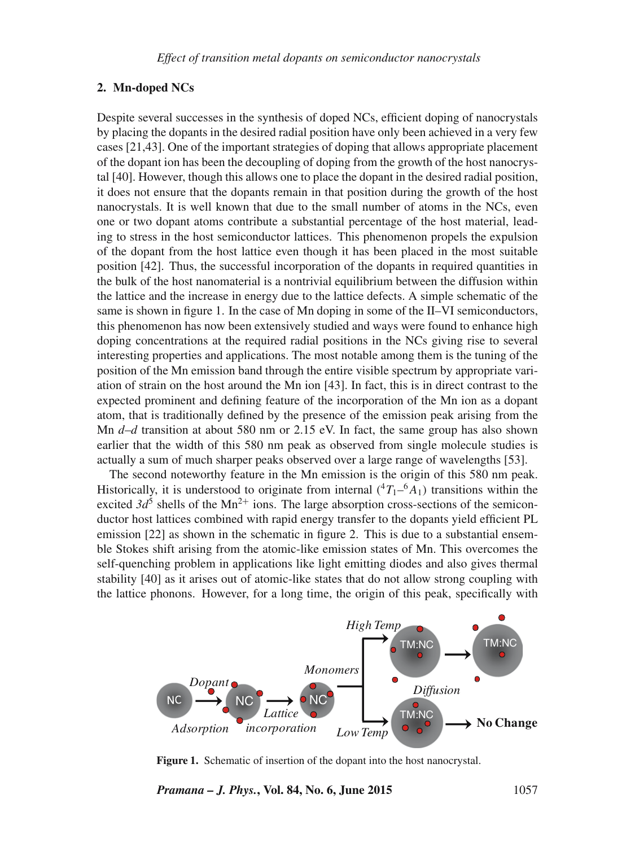# **2. Mn-doped NCs**

Despite several successes in the synthesis of doped NCs, efficient doping of nanocrystals by placing the dopants in the desired radial position have only been achieved in a very few cases [21,43]. One of the important strategies of doping that allows appropriate placement of the dopant ion has been the decoupling of doping from the growth of the host nanocrystal [40]. However, though this allows one to place the dopant in the desired radial position, it does not ensure that the dopants remain in that position during the growth of the host nanocrystals. It is well known that due to the small number of atoms in the NCs, even one or two dopant atoms contribute a substantial percentage of the host material, leading to stress in the host semiconductor lattices. This phenomenon propels the expulsion of the dopant from the host lattice even though it has been placed in the most suitable position [42]. Thus, the successful incorporation of the dopants in required quantities in the bulk of the host nanomaterial is a nontrivial equilibrium between the diffusion within the lattice and the increase in energy due to the lattice defects. A simple schematic of the same is shown in figure 1. In the case of Mn doping in some of the II–VI semiconductors, this phenomenon has now been extensively studied and ways were found to enhance high doping concentrations at the required radial positions in the NCs giving rise to several interesting properties and applications. The most notable among them is the tuning of the position of the Mn emission band through the entire visible spectrum by appropriate variation of strain on the host around the Mn ion [43]. In fact, this is in direct contrast to the expected prominent and defining feature of the incorporation of the Mn ion as a dopant atom, that is traditionally defined by the presence of the emission peak arising from the Mn *d*–*d* transition at about 580 nm or 2.15 eV. In fact, the same group has also shown earlier that the width of this 580 nm peak as observed from single molecule studies is actually a sum of much sharper peaks observed over a large range of wavelengths [53].

The second noteworthy feature in the Mn emission is the origin of this 580 nm peak. Historically, it is understood to originate from internal  $({}^4T_1-{}^6A_1)$  transitions within the excited  $3d^5$  shells of the Mn<sup>2+</sup> ions. The large absorption cross-sections of the semiconductor host lattices combined with rapid energy transfer to the dopants yield efficient PL emission [22] as shown in the schematic in figure 2. This is due to a substantial ensemble Stokes shift arising from the atomic-like emission states of Mn. This overcomes the self-quenching problem in applications like light emitting diodes and also gives thermal stability [40] as it arises out of atomic-like states that do not allow strong coupling with the lattice phonons. However, for a long time, the origin of this peak, specifically with



**Figure 1.** Schematic of insertion of the dopant into the host nanocrystal.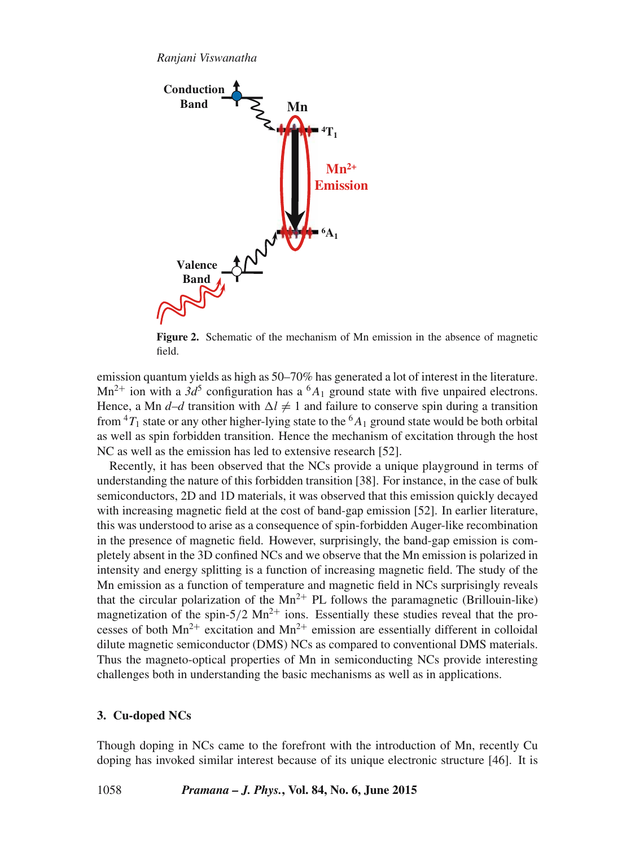

**Figure 2.** Schematic of the mechanism of Mn emission in the absence of magnetic field.

emission quantum yields as high as 50–70% has generated a lot of interest in the literature.  $Mn^{2+}$  ion with a 3d<sup>5</sup> configuration has a <sup>6</sup>A<sub>1</sub> ground state with five unpaired electrons. Hence, a Mn *d-d* transition with  $\Delta l \neq 1$  and failure to conserve spin during a transition from  ${}^{4}T_1$  state or any other higher-lying state to the  ${}^{6}A_1$  ground state would be both orbital as well as spin forbidden transition. Hence the mechanism of excitation through the host NC as well as the emission has led to extensive research [52].

Recently, it has been observed that the NCs provide a unique playground in terms of understanding the nature of this forbidden transition [38]. For instance, in the case of bulk semiconductors, 2D and 1D materials, it was observed that this emission quickly decayed with increasing magnetic field at the cost of band-gap emission [52]. In earlier literature, this was understood to arise as a consequence of spin-forbidden Auger-like recombination in the presence of magnetic field. However, surprisingly, the band-gap emission is completely absent in the 3D confined NCs and we observe that the Mn emission is polarized in intensity and energy splitting is a function of increasing magnetic field. The study of the Mn emission as a function of temperature and magnetic field in NCs surprisingly reveals that the circular polarization of the  $Mn^{2+}$  PL follows the paramagnetic (Brillouin-like) magnetization of the spin-5/2  $Mn^{2+}$  ions. Essentially these studies reveal that the processes of both  $Mn^{2+}$  excitation and  $Mn^{2+}$  emission are essentially different in colloidal dilute magnetic semiconductor (DMS) NCs as compared to conventional DMS materials. Thus the magneto-optical properties of Mn in semiconducting NCs provide interesting challenges both in understanding the basic mechanisms as well as in applications.

## **3. Cu-doped NCs**

Though doping in NCs came to the forefront with the introduction of Mn, recently Cu doping has invoked similar interest because of its unique electronic structure [46]. It is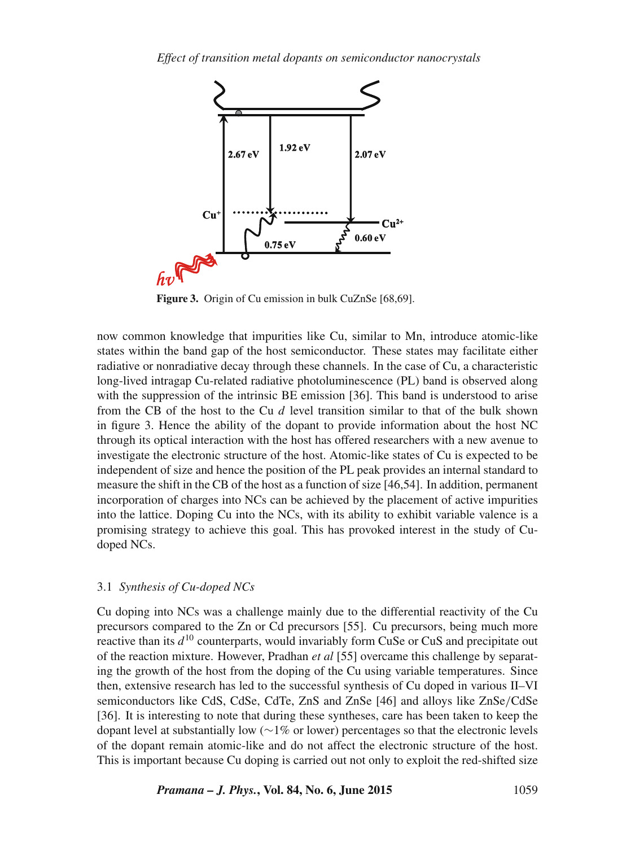

**Figure 3.** Origin of Cu emission in bulk CuZnSe [68,69].

now common knowledge that impurities like Cu, similar to Mn, introduce atomic-like states within the band gap of the host semiconductor. These states may facilitate either radiative or nonradiative decay through these channels. In the case of Cu, a characteristic long-lived intragap Cu-related radiative photoluminescence (PL) band is observed along with the suppression of the intrinsic BE emission [36]. This band is understood to arise from the CB of the host to the Cu  $d$  level transition similar to that of the bulk shown in figure 3. Hence the ability of the dopant to provide information about the host NC through its optical interaction with the host has offered researchers with a new avenue to investigate the electronic structure of the host. Atomic-like states of Cu is expected to be independent of size and hence the position of the PL peak provides an internal standard to measure the shift in the CB of the host as a function of size [46,54]. In addition, permanent incorporation of charges into NCs can be achieved by the placement of active impurities into the lattice. Doping Cu into the NCs, with its ability to exhibit variable valence is a promising strategy to achieve this goal. This has provoked interest in the study of Cudoped NCs.

#### 3.1 *Synthesis of Cu-doped NCs*

Cu doping into NCs was a challenge mainly due to the differential reactivity of the Cu precursors compared to the Zn or Cd precursors [55]. Cu precursors, being much more reactive than its  $d^{10}$  counterparts, would invariably form CuSe or CuS and precipitate out of the reaction mixture. However, Pradhan *et al* [55] overcame this challenge by separating the growth of the host from the doping of the Cu using variable temperatures. Since then, extensive research has led to the successful synthesis of Cu doped in various II–VI semiconductors like CdS, CdSe, CdTe, ZnS and ZnSe [46] and alloys like ZnSe/CdSe [36]. It is interesting to note that during these syntheses, care has been taken to keep the dopant level at substantially low (∼1% or lower) percentages so that the electronic levels of the dopant remain atomic-like and do not affect the electronic structure of the host. This is important because Cu doping is carried out not only to exploit the red-shifted size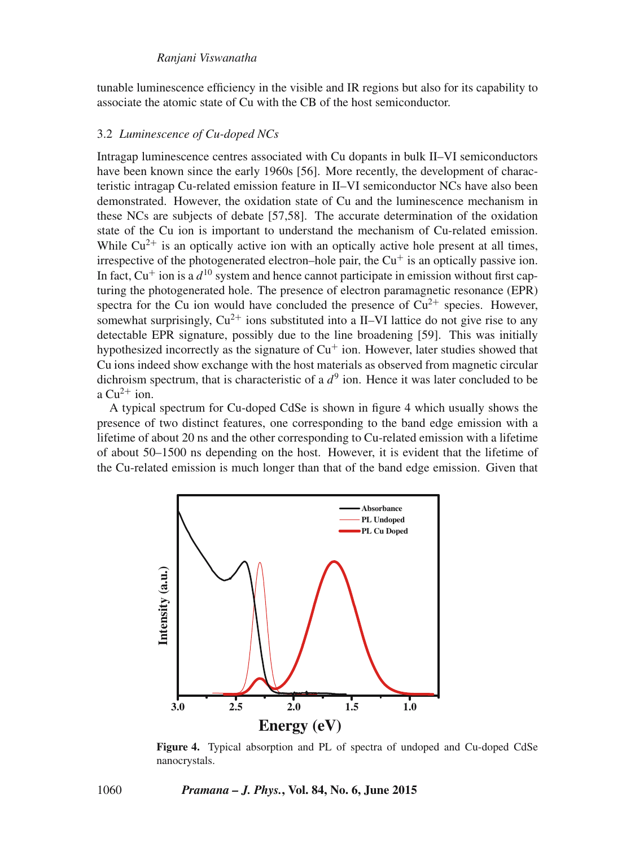tunable luminescence efficiency in the visible and IR regions but also for its capability to associate the atomic state of Cu with the CB of the host semiconductor.

#### 3.2 *Luminescence of Cu-doped NCs*

Intragap luminescence centres associated with Cu dopants in bulk II–VI semiconductors have been known since the early 1960s [56]. More recently, the development of characteristic intragap Cu-related emission feature in II–VI semiconductor NCs have also been demonstrated. However, the oxidation state of Cu and the luminescence mechanism in these NCs are subjects of debate [57,58]. The accurate determination of the oxidation state of the Cu ion is important to understand the mechanism of Cu-related emission. While  $Cu^{2+}$  is an optically active ion with an optically active hole present at all times, irrespective of the photogenerated electron–hole pair, the  $Cu<sup>+</sup>$  is an optically passive ion. In fact,  $Cu^+$  ion is a  $d^{10}$  system and hence cannot participate in emission without first capturing the photogenerated hole. The presence of electron paramagnetic resonance (EPR) spectra for the Cu ion would have concluded the presence of  $Cu^{2+}$  species. However, somewhat surprisingly,  $Cu^{2+}$  ions substituted into a II–VI lattice do not give rise to any detectable EPR signature, possibly due to the line broadening [59]. This was initially hypothesized incorrectly as the signature of  $Cu<sup>+</sup>$  ion. However, later studies showed that Cu ions indeed show exchange with the host materials as observed from magnetic circular dichroism spectrum, that is characteristic of a  $d^9$  ion. Hence it was later concluded to be a  $Cu^{2+}$  ion.

A typical spectrum for Cu-doped CdSe is shown in figure 4 which usually shows the presence of two distinct features, one corresponding to the band edge emission with a lifetime of about 20 ns and the other corresponding to Cu-related emission with a lifetime of about 50–1500 ns depending on the host. However, it is evident that the lifetime of the Cu-related emission is much longer than that of the band edge emission. Given that



**Figure 4.** Typical absorption and PL of spectra of undoped and Cu-doped CdSe nanocrystals.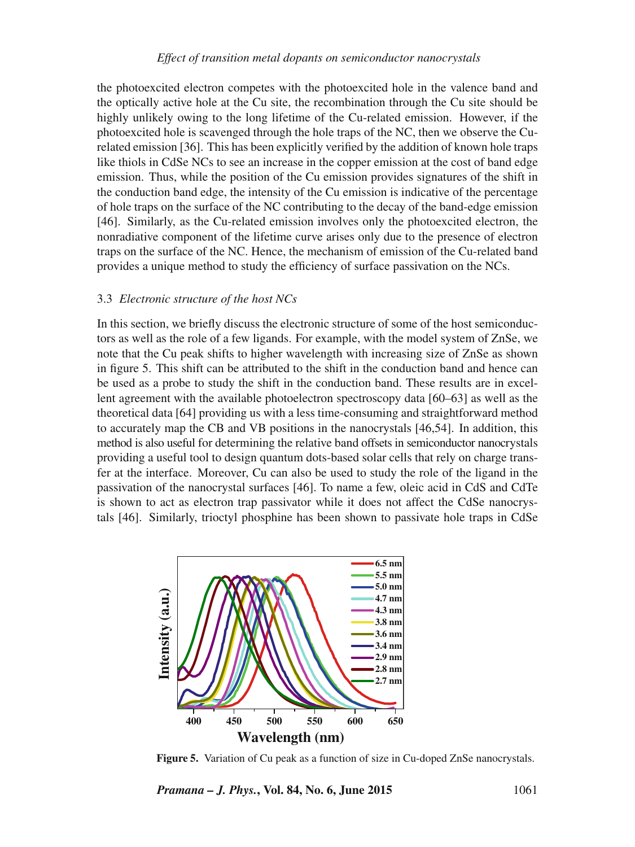## *Effect of transition metal dopants on semiconductor nanocrystals*

the photoexcited electron competes with the photoexcited hole in the valence band and the optically active hole at the Cu site, the recombination through the Cu site should be highly unlikely owing to the long lifetime of the Cu-related emission. However, if the photoexcited hole is scavenged through the hole traps of the NC, then we observe the Curelated emission [36]. This has been explicitly verified by the addition of known hole traps like thiols in CdSe NCs to see an increase in the copper emission at the cost of band edge emission. Thus, while the position of the Cu emission provides signatures of the shift in the conduction band edge, the intensity of the Cu emission is indicative of the percentage of hole traps on the surface of the NC contributing to the decay of the band-edge emission [46]. Similarly, as the Cu-related emission involves only the photoexcited electron, the nonradiative component of the lifetime curve arises only due to the presence of electron traps on the surface of the NC. Hence, the mechanism of emission of the Cu-related band provides a unique method to study the efficiency of surface passivation on the NCs.

#### 3.3 *Electronic structure of the host NCs*

In this section, we briefly discuss the electronic structure of some of the host semiconductors as well as the role of a few ligands. For example, with the model system of ZnSe, we note that the Cu peak shifts to higher wavelength with increasing size of ZnSe as shown in figure 5. This shift can be attributed to the shift in the conduction band and hence can be used as a probe to study the shift in the conduction band. These results are in excellent agreement with the available photoelectron spectroscopy data [60–63] as well as the theoretical data [64] providing us with a less time-consuming and straightforward method to accurately map the CB and VB positions in the nanocrystals [46,54]. In addition, this method is also useful for determining the relative band offsets in semiconductor nanocrystals providing a useful tool to design quantum dots-based solar cells that rely on charge transfer at the interface. Moreover, Cu can also be used to study the role of the ligand in the passivation of the nanocrystal surfaces [46]. To name a few, oleic acid in CdS and CdTe is shown to act as electron trap passivator while it does not affect the CdSe nanocrystals [46]. Similarly, trioctyl phosphine has been shown to passivate hole traps in CdSe



**Figure 5.** Variation of Cu peak as a function of size in Cu-doped ZnSe nanocrystals.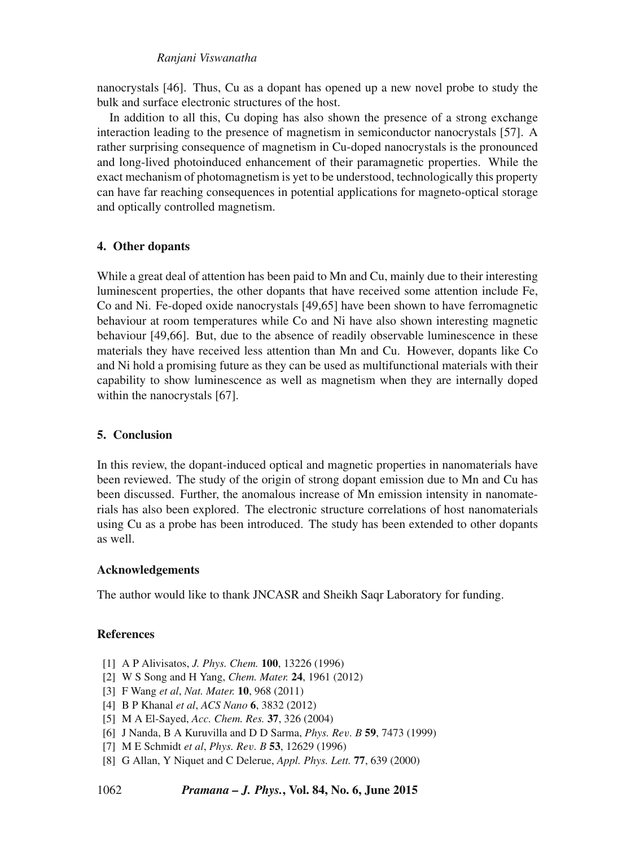nanocrystals [46]. Thus, Cu as a dopant has opened up a new novel probe to study the bulk and surface electronic structures of the host.

In addition to all this, Cu doping has also shown the presence of a strong exchange interaction leading to the presence of magnetism in semiconductor nanocrystals [57]. A rather surprising consequence of magnetism in Cu-doped nanocrystals is the pronounced and long-lived photoinduced enhancement of their paramagnetic properties. While the exact mechanism of photomagnetism is yet to be understood, technologically this property can have far reaching consequences in potential applications for magneto-optical storage and optically controlled magnetism.

## **4. Other dopants**

While a great deal of attention has been paid to Mn and Cu, mainly due to their interesting luminescent properties, the other dopants that have received some attention include Fe, Co and Ni. Fe-doped oxide nanocrystals [49,65] have been shown to have ferromagnetic behaviour at room temperatures while Co and Ni have also shown interesting magnetic behaviour [49,66]. But, due to the absence of readily observable luminescence in these materials they have received less attention than Mn and Cu. However, dopants like Co and Ni hold a promising future as they can be used as multifunctional materials with their capability to show luminescence as well as magnetism when they are internally doped within the nanocrystals [67].

## **5. Conclusion**

In this review, the dopant-induced optical and magnetic properties in nanomaterials have been reviewed. The study of the origin of strong dopant emission due to Mn and Cu has been discussed. Further, the anomalous increase of Mn emission intensity in nanomaterials has also been explored. The electronic structure correlations of host nanomaterials using Cu as a probe has been introduced. The study has been extended to other dopants as well.

## **Acknowledgements**

The author would like to thank JNCASR and Sheikh Saqr Laboratory for funding.

## **References**

- [1] A P Alivisatos, *J. Phys. Chem.* **100**, 13226 (1996)
- [2] W S Song and H Yang, *Chem. Mater.* **24**, 1961 (2012)
- [3] F Wang *et al*, *Nat. Mater.* **10**, 968 (2011)
- [4] B P Khanal *et al*, *ACS Nano* **6**, 3832 (2012)
- [5] M A El-Sayed, *Acc. Chem. Res.* **37**, 326 (2004)
- [6] J Nanda, B A Kuruvilla and D D Sarma, *Phys. Re*v*. B* **59**, 7473 (1999)
- [7] M E Schmidt *et al*, *Phys. Re*v*. B* **53**, 12629 (1996)
- [8] G Allan, Y Niquet and C Delerue, *Appl. Phys. Lett.* **77**, 639 (2000)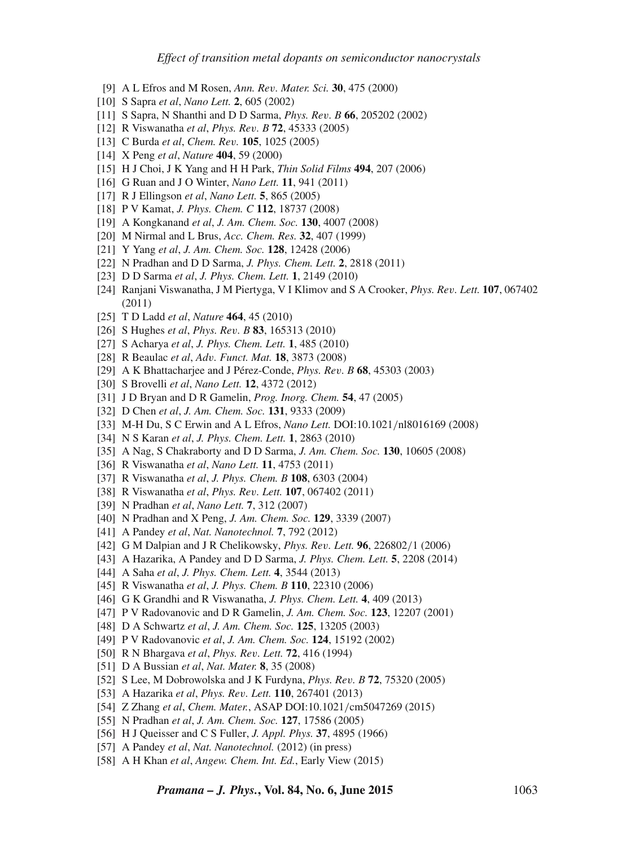- [9] A L Efros and M Rosen, *Ann. Re*v*. Mater. Sci.* **30**, 475 (2000)
- [10] S Sapra *et al*, *Nano Lett.* **2**, 605 (2002)
- [11] S Sapra, N Shanthi and D D Sarma, *Phys. Re*v*. B* **66**, 205202 (2002)
- [12] R Viswanatha *et al*, *Phys. Re*v*. B* **72**, 45333 (2005)
- [13] C Burda *et al*, *Chem. Re*v*.* **105**, 1025 (2005)
- [14] X Peng *et al*, *Nature* **404**, 59 (2000)
- [15] H J Choi, J K Yang and H H Park, *Thin Solid Films* **494**, 207 (2006)
- [16] G Ruan and J O Winter, *Nano Lett.* **11**, 941 (2011)
- [17] R J Ellingson *et al*, *Nano Lett.* **5**, 865 (2005)
- [18] P V Kamat, *J. Phys. Chem. C* **112**, 18737 (2008)
- [19] A Kongkanand *et al*, *J. Am. Chem. Soc.* **130**, 4007 (2008)
- [20] M Nirmal and L Brus, *Acc. Chem. Res.* **32**, 407 (1999)
- [21] Y Yang *et al*, *J. Am. Chem. Soc.* **128**, 12428 (2006)
- [22] N Pradhan and D D Sarma, *J. Phys. Chem. Lett.* **2**, 2818 (2011)
- [23] D D Sarma *et al*, *J. Phys. Chem. Lett.* **1**, 2149 (2010)
- [24] Ranjani Viswanatha, J M Piertyga, V I Klimov and S A Crooker, *Phys. Re*v*. Lett.* **107**, 067402 (2011)
- [25] T D Ladd *et al*, *Nature* **464**, 45 (2010)
- [26] S Hughes *et al*, *Phys. Re*v*. B* **83**, 165313 (2010)
- [27] S Acharya *et al*, *J. Phys. Chem. Lett.* **1**, 485 (2010)
- [28] R Beaulac *et al*, *Ad*v*. Funct. Mat.* **18**, 3873 (2008)
- [29] A K Bhattacharjee and J Pérez-Conde, *Phys. Re*v*. B* **68**, 45303 (2003)
- [30] S Brovelli *et al*, *Nano Lett.* **12**, 4372 (2012)
- [31] J D Bryan and D R Gamelin, *Prog. Inorg. Chem.* **54**, 47 (2005)
- [32] D Chen *et al*, *J. Am. Chem. Soc.* **131**, 9333 (2009)
- [33] M-H Du, S C Erwin and A L Efros, *Nano Lett.* DOI:10.1021/nl8016169 (2008)
- [34] N S Karan *et al*, *J. Phys. Chem. Lett.* **1**, 2863 (2010)
- [35] A Nag, S Chakraborty and D D Sarma, *J. Am. Chem. Soc.* **130**, 10605 (2008)
- [36] R Viswanatha *et al*, *Nano Lett.* **11**, 4753 (2011)
- [37] R Viswanatha *et al*, *J. Phys. Chem. B* **108**, 6303 (2004)
- [38] R Viswanatha *et al*, *Phys. Re*v*. Lett.* **107**, 067402 (2011)
- [39] N Pradhan *et al*, *Nano Lett.* **7**, 312 (2007)
- [40] N Pradhan and X Peng, *J. Am. Chem. Soc.* **129**, 3339 (2007)
- [41] A Pandey *et al*, *Nat. Nanotechnol.* **7**, 792 (2012)
- [42] G M Dalpian and J R Chelikowsky, *Phys. Re*v*. Lett.* **96**, 226802/1 (2006)
- [43] A Hazarika, A Pandey and D D Sarma, *J. Phys. Chem. Lett.* **5**, 2208 (2014)
- [44] A Saha *et al*, *J. Phys. Chem. Lett.* **4**, 3544 (2013)
- [45] R Viswanatha *et al*, *J. Phys. Chem. B* **110**, 22310 (2006)
- [46] G K Grandhi and R Viswanatha, *J. Phys. Chem. Lett.* **4**, 409 (2013)
- [47] P V Radovanovic and D R Gamelin, *J. Am. Chem. Soc.* **123**, 12207 (2001)
- [48] D A Schwartz *et al*, *J. Am. Chem. Soc.* **125**, 13205 (2003)
- [49] P V Radovanovic *et al*, *J. Am. Chem. Soc.* **124**, 15192 (2002)
- [50] R N Bhargava *et al*, *Phys. Re*v*. Lett.* **72**, 416 (1994)
- [51] D A Bussian *et al*, *Nat. Mater.* **8**, 35 (2008)
- [52] S Lee, M Dobrowolska and J K Furdyna, *Phys. Re*v*. B* **72**, 75320 (2005)
- [53] A Hazarika *et al*, *Phys. Re*v*. Lett.* **110**, 267401 (2013)
- [54] Z Zhang *et al*, *Chem. Mater.*, ASAP DOI:10.1021/cm5047269 (2015)
- [55] N Pradhan *et al*, *J. Am. Chem. Soc.* **127**, 17586 (2005)
- [56] H J Queisser and C S Fuller, *J. Appl. Phys.* **37**, 4895 (1966)
- [57] A Pandey *et al*, *Nat. Nanotechnol.* (2012) (in press)
- [58] A H Khan *et al*, *Angew. Chem. Int. Ed.*, Early View (2015)